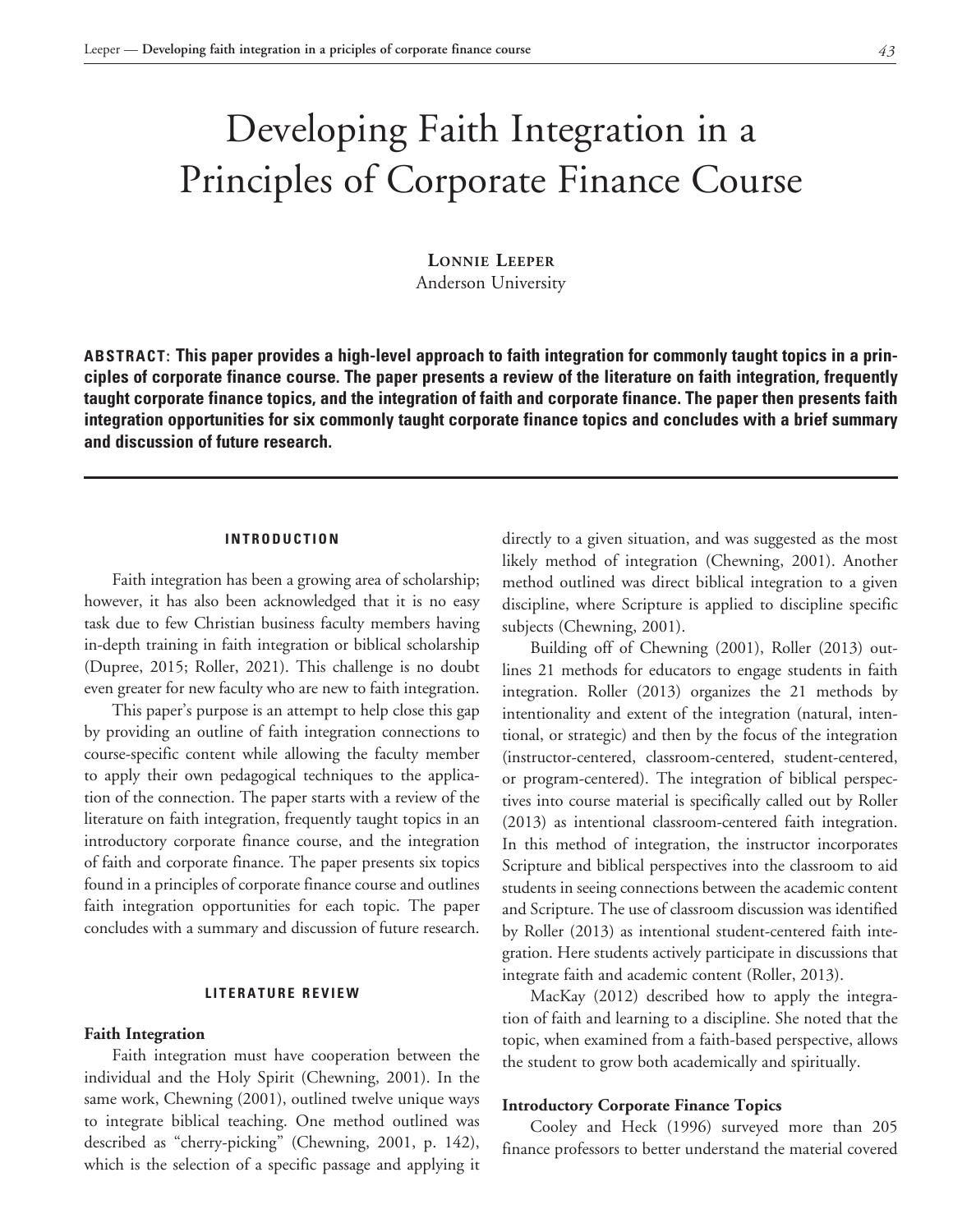# Developing Faith Integration in a Principles of Corporate Finance Course

**Lonnie Leeper** Anderson University

**ABSTRACT: This paper provides a high-level approach to faith integration for commonly taught topics in a principles of corporate finance course. The paper presents a review of the literature on faith integration, frequently taught corporate finance topics, and the integration of faith and corporate finance. The paper then presents faith integration opportunities for six commonly taught corporate finance topics and concludes with a brief summary and discussion of future research.**

## **INTRODUCTION**

Faith integration has been a growing area of scholarship; however, it has also been acknowledged that it is no easy task due to few Christian business faculty members having in-depth training in faith integration or biblical scholarship (Dupree, 2015; Roller, 2021). This challenge is no doubt even greater for new faculty who are new to faith integration.

This paper's purpose is an attempt to help close this gap by providing an outline of faith integration connections to course-specific content while allowing the faculty member to apply their own pedagogical techniques to the application of the connection. The paper starts with a review of the literature on faith integration, frequently taught topics in an introductory corporate finance course, and the integration of faith and corporate finance. The paper presents six topics found in a principles of corporate finance course and outlines faith integration opportunities for each topic. The paper concludes with a summary and discussion of future research.

#### **LITERATURE REVIEW**

#### **Faith Integration**

Faith integration must have cooperation between the individual and the Holy Spirit (Chewning, 2001). In the same work, Chewning (2001), outlined twelve unique ways to integrate biblical teaching. One method outlined was described as "cherry-picking" (Chewning, 2001, p. 142), which is the selection of a specific passage and applying it directly to a given situation, and was suggested as the most likely method of integration (Chewning, 2001). Another method outlined was direct biblical integration to a given discipline, where Scripture is applied to discipline specific subjects (Chewning, 2001).

Building off of Chewning (2001), Roller (2013) outlines 21 methods for educators to engage students in faith integration. Roller (2013) organizes the 21 methods by intentionality and extent of the integration (natural, intentional, or strategic) and then by the focus of the integration (instructor-centered, classroom-centered, student-centered, or program-centered). The integration of biblical perspectives into course material is specifically called out by Roller (2013) as intentional classroom-centered faith integration. In this method of integration, the instructor incorporates Scripture and biblical perspectives into the classroom to aid students in seeing connections between the academic content and Scripture. The use of classroom discussion was identified by Roller (2013) as intentional student-centered faith integration. Here students actively participate in discussions that integrate faith and academic content (Roller, 2013).

MacKay (2012) described how to apply the integration of faith and learning to a discipline. She noted that the topic, when examined from a faith-based perspective, allows the student to grow both academically and spiritually.

#### **Introductory Corporate Finance Topics**

Cooley and Heck (1996) surveyed more than 205 finance professors to better understand the material covered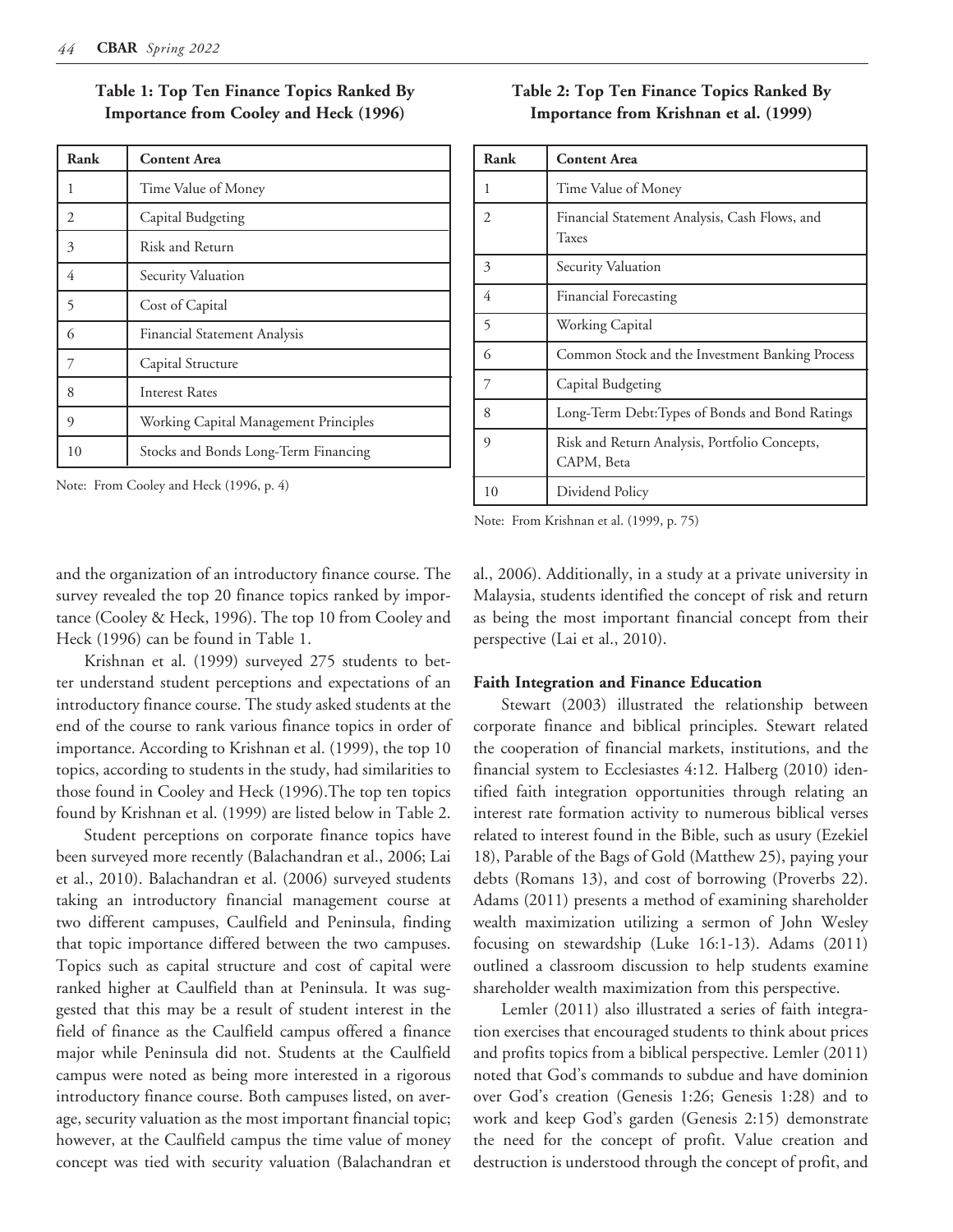| Rank | <b>Content Area</b>                   |
|------|---------------------------------------|
| 1    | Time Value of Money                   |
| 2    | Capital Budgeting                     |
| 3    | Risk and Return                       |
| 4    | Security Valuation                    |
| 5    | Cost of Capital                       |
| 6    | Financial Statement Analysis          |
| 7    | Capital Structure                     |
| 8    | <b>Interest Rates</b>                 |
| 9    | Working Capital Management Principles |
| 10   | Stocks and Bonds Long-Term Financing  |

**Table 1: Top Ten Finance Topics Ranked By Importance from Cooley and Heck (1996)**

Note: From Cooley and Heck (1996, p. 4)

# **Table 2: Top Ten Finance Topics Ranked By Importance from Krishnan et al. (1999)**

| Rank           | <b>Content Area</b>                                         |
|----------------|-------------------------------------------------------------|
| 1              | Time Value of Money                                         |
| $\mathfrak{D}$ | Financial Statement Analysis, Cash Flows, and<br>Taxes      |
| 3              | Security Valuation                                          |
| 4              | Financial Forecasting                                       |
| 5              | Working Capital                                             |
| 6              | Common Stock and the Investment Banking Process             |
| 7              | Capital Budgeting                                           |
| 8              | Long-Term Debt: Types of Bonds and Bond Ratings             |
| $\mathbf Q$    | Risk and Return Analysis, Portfolio Concepts,<br>CAPM, Beta |
| 10             | Dividend Policy                                             |

Note: From Krishnan et al. (1999, p. 75)

and the organization of an introductory finance course. The survey revealed the top 20 finance topics ranked by importance (Cooley & Heck, 1996). The top 10 from Cooley and Heck (1996) can be found in Table 1.

Krishnan et al. (1999) surveyed 275 students to better understand student perceptions and expectations of an introductory finance course. The study asked students at the end of the course to rank various finance topics in order of importance. According to Krishnan et al. (1999), the top 10 topics, according to students in the study, had similarities to those found in Cooley and Heck (1996).The top ten topics found by Krishnan et al. (1999) are listed below in Table 2.

Student perceptions on corporate finance topics have been surveyed more recently (Balachandran et al., 2006; Lai et al., 2010). Balachandran et al. (2006) surveyed students taking an introductory financial management course at two different campuses, Caulfield and Peninsula, finding that topic importance differed between the two campuses. Topics such as capital structure and cost of capital were ranked higher at Caulfield than at Peninsula. It was suggested that this may be a result of student interest in the field of finance as the Caulfield campus offered a finance major while Peninsula did not. Students at the Caulfield campus were noted as being more interested in a rigorous introductory finance course. Both campuses listed, on average, security valuation as the most important financial topic; however, at the Caulfield campus the time value of money concept was tied with security valuation (Balachandran et

al., 2006). Additionally, in a study at a private university in Malaysia, students identified the concept of risk and return as being the most important financial concept from their perspective (Lai et al., 2010).

#### **Faith Integration and Finance Education**

Stewart (2003) illustrated the relationship between corporate finance and biblical principles. Stewart related the cooperation of financial markets, institutions, and the financial system to Ecclesiastes 4:12. Halberg (2010) identified faith integration opportunities through relating an interest rate formation activity to numerous biblical verses related to interest found in the Bible, such as usury (Ezekiel 18), Parable of the Bags of Gold (Matthew 25), paying your debts (Romans 13), and cost of borrowing (Proverbs 22). Adams (2011) presents a method of examining shareholder wealth maximization utilizing a sermon of John Wesley focusing on stewardship (Luke 16:1-13). Adams (2011) outlined a classroom discussion to help students examine shareholder wealth maximization from this perspective.

Lemler (2011) also illustrated a series of faith integration exercises that encouraged students to think about prices and profits topics from a biblical perspective. Lemler (2011) noted that God's commands to subdue and have dominion over God's creation (Genesis 1:26; Genesis 1:28) and to work and keep God's garden (Genesis 2:15) demonstrate the need for the concept of profit. Value creation and destruction is understood through the concept of profit, and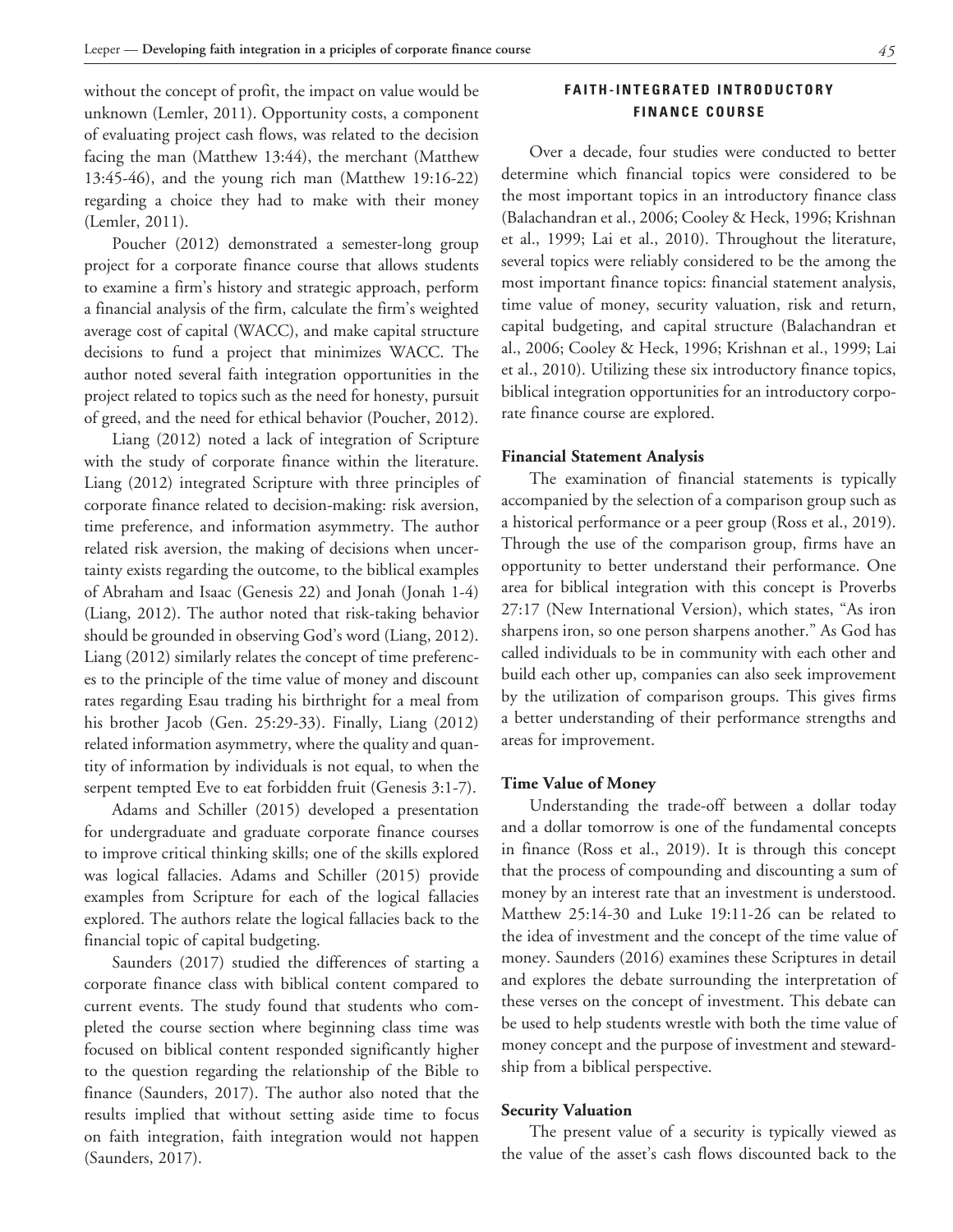without the concept of profit, the impact on value would be unknown (Lemler, 2011). Opportunity costs, a component of evaluating project cash flows, was related to the decision facing the man (Matthew 13:44), the merchant (Matthew 13:45-46), and the young rich man (Matthew 19:16-22) regarding a choice they had to make with their money (Lemler, 2011).

Poucher (2012) demonstrated a semester-long group project for a corporate finance course that allows students to examine a firm's history and strategic approach, perform a financial analysis of the firm, calculate the firm's weighted average cost of capital (WACC), and make capital structure decisions to fund a project that minimizes WACC. The author noted several faith integration opportunities in the project related to topics such as the need for honesty, pursuit of greed, and the need for ethical behavior (Poucher, 2012).

Liang (2012) noted a lack of integration of Scripture with the study of corporate finance within the literature. Liang (2012) integrated Scripture with three principles of corporate finance related to decision-making: risk aversion, time preference, and information asymmetry. The author related risk aversion, the making of decisions when uncertainty exists regarding the outcome, to the biblical examples of Abraham and Isaac (Genesis 22) and Jonah (Jonah 1-4) (Liang, 2012). The author noted that risk-taking behavior should be grounded in observing God's word (Liang, 2012). Liang (2012) similarly relates the concept of time preferences to the principle of the time value of money and discount rates regarding Esau trading his birthright for a meal from his brother Jacob (Gen. 25:29-33). Finally, Liang (2012) related information asymmetry, where the quality and quantity of information by individuals is not equal, to when the serpent tempted Eve to eat forbidden fruit (Genesis 3:1-7).

Adams and Schiller (2015) developed a presentation for undergraduate and graduate corporate finance courses to improve critical thinking skills; one of the skills explored was logical fallacies. Adams and Schiller (2015) provide examples from Scripture for each of the logical fallacies explored. The authors relate the logical fallacies back to the financial topic of capital budgeting.

Saunders (2017) studied the differences of starting a corporate finance class with biblical content compared to current events. The study found that students who completed the course section where beginning class time was focused on biblical content responded significantly higher to the question regarding the relationship of the Bible to finance (Saunders, 2017). The author also noted that the results implied that without setting aside time to focus on faith integration, faith integration would not happen (Saunders, 2017).

# **F A I T H - I N T E G R A T E D I N T R O D U C T O R Y FINANCE COURSE**

Over a decade, four studies were conducted to better determine which financial topics were considered to be the most important topics in an introductory finance class (Balachandran et al., 2006; Cooley & Heck, 1996; Krishnan et al., 1999; Lai et al., 2010). Throughout the literature, several topics were reliably considered to be the among the most important finance topics: financial statement analysis, time value of money, security valuation, risk and return, capital budgeting, and capital structure (Balachandran et al., 2006; Cooley & Heck, 1996; Krishnan et al., 1999; Lai et al., 2010). Utilizing these six introductory finance topics, biblical integration opportunities for an introductory corporate finance course are explored.

## **Financial Statement Analysis**

The examination of financial statements is typically accompanied by the selection of a comparison group such as a historical performance or a peer group (Ross et al., 2019). Through the use of the comparison group, firms have an opportunity to better understand their performance. One area for biblical integration with this concept is Proverbs 27:17 (New International Version), which states, "As iron sharpens iron, so one person sharpens another." As God has called individuals to be in community with each other and build each other up, companies can also seek improvement by the utilization of comparison groups. This gives firms a better understanding of their performance strengths and areas for improvement.

#### **Time Value of Money**

Understanding the trade-off between a dollar today and a dollar tomorrow is one of the fundamental concepts in finance (Ross et al., 2019). It is through this concept that the process of compounding and discounting a sum of money by an interest rate that an investment is understood. Matthew 25:14-30 and Luke 19:11-26 can be related to the idea of investment and the concept of the time value of money. Saunders (2016) examines these Scriptures in detail and explores the debate surrounding the interpretation of these verses on the concept of investment. This debate can be used to help students wrestle with both the time value of money concept and the purpose of investment and stewardship from a biblical perspective.

#### **Security Valuation**

The present value of a security is typically viewed as the value of the asset's cash flows discounted back to the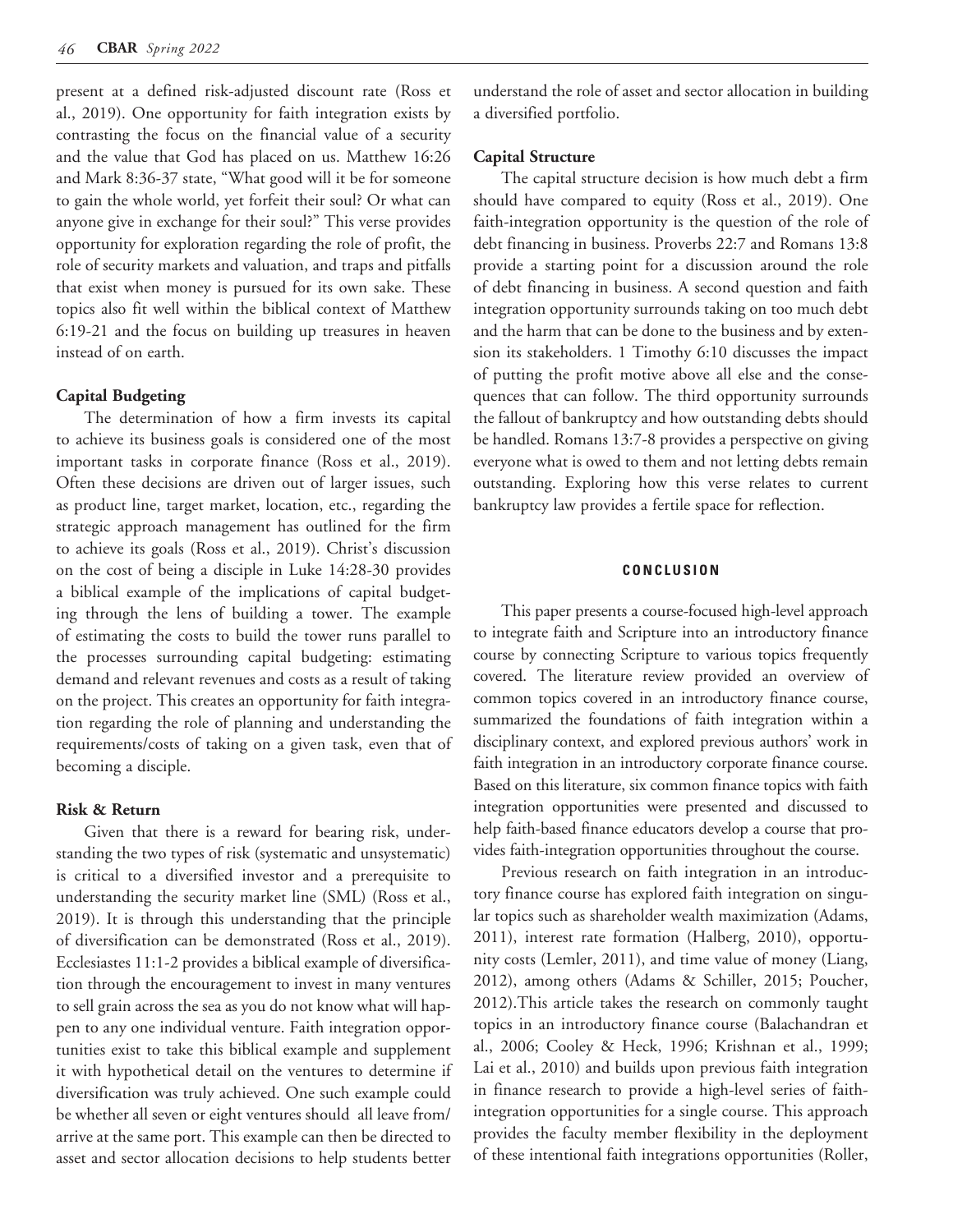present at a defined risk-adjusted discount rate (Ross et al., 2019). One opportunity for faith integration exists by contrasting the focus on the financial value of a security and the value that God has placed on us. Matthew 16:26 and Mark 8:36-37 state, "What good will it be for someone to gain the whole world, yet forfeit their soul? Or what can anyone give in exchange for their soul?" This verse provides opportunity for exploration regarding the role of profit, the role of security markets and valuation, and traps and pitfalls that exist when money is pursued for its own sake. These topics also fit well within the biblical context of Matthew 6:19-21 and the focus on building up treasures in heaven instead of on earth.

## **Capital Budgeting**

The determination of how a firm invests its capital to achieve its business goals is considered one of the most important tasks in corporate finance (Ross et al., 2019). Often these decisions are driven out of larger issues, such as product line, target market, location, etc., regarding the strategic approach management has outlined for the firm to achieve its goals (Ross et al., 2019). Christ's discussion on the cost of being a disciple in Luke 14:28-30 provides a biblical example of the implications of capital budgeting through the lens of building a tower. The example of estimating the costs to build the tower runs parallel to the processes surrounding capital budgeting: estimating demand and relevant revenues and costs as a result of taking on the project. This creates an opportunity for faith integration regarding the role of planning and understanding the requirements/costs of taking on a given task, even that of becoming a disciple.

## **Risk & Return**

Given that there is a reward for bearing risk, understanding the two types of risk (systematic and unsystematic) is critical to a diversified investor and a prerequisite to understanding the security market line (SML) (Ross et al., 2019). It is through this understanding that the principle of diversification can be demonstrated (Ross et al., 2019). Ecclesiastes 11:1-2 provides a biblical example of diversification through the encouragement to invest in many ventures to sell grain across the sea as you do not know what will happen to any one individual venture. Faith integration opportunities exist to take this biblical example and supplement it with hypothetical detail on the ventures to determine if diversification was truly achieved. One such example could be whether all seven or eight ventures should all leave from/ arrive at the same port. This example can then be directed to asset and sector allocation decisions to help students better

understand the role of asset and sector allocation in building a diversified portfolio.

#### **Capital Structure**

The capital structure decision is how much debt a firm should have compared to equity (Ross et al., 2019). One faith-integration opportunity is the question of the role of debt financing in business. Proverbs 22:7 and Romans 13:8 provide a starting point for a discussion around the role of debt financing in business. A second question and faith integration opportunity surrounds taking on too much debt and the harm that can be done to the business and by extension its stakeholders. 1 Timothy 6:10 discusses the impact of putting the profit motive above all else and the consequences that can follow. The third opportunity surrounds the fallout of bankruptcy and how outstanding debts should be handled. Romans 13:7-8 provides a perspective on giving everyone what is owed to them and not letting debts remain outstanding. Exploring how this verse relates to current bankruptcy law provides a fertile space for reflection.

#### **CONCLUSION**

This paper presents a course-focused high-level approach to integrate faith and Scripture into an introductory finance course by connecting Scripture to various topics frequently covered. The literature review provided an overview of common topics covered in an introductory finance course, summarized the foundations of faith integration within a disciplinary context, and explored previous authors' work in faith integration in an introductory corporate finance course. Based on this literature, six common finance topics with faith integration opportunities were presented and discussed to help faith-based finance educators develop a course that provides faith-integration opportunities throughout the course.

Previous research on faith integration in an introductory finance course has explored faith integration on singular topics such as shareholder wealth maximization (Adams, 2011), interest rate formation (Halberg, 2010), opportunity costs (Lemler, 2011), and time value of money (Liang, 2012), among others (Adams & Schiller, 2015; Poucher, 2012).This article takes the research on commonly taught topics in an introductory finance course (Balachandran et al., 2006; Cooley & Heck, 1996; Krishnan et al., 1999; Lai et al., 2010) and builds upon previous faith integration in finance research to provide a high-level series of faithintegration opportunities for a single course. This approach provides the faculty member flexibility in the deployment of these intentional faith integrations opportunities (Roller,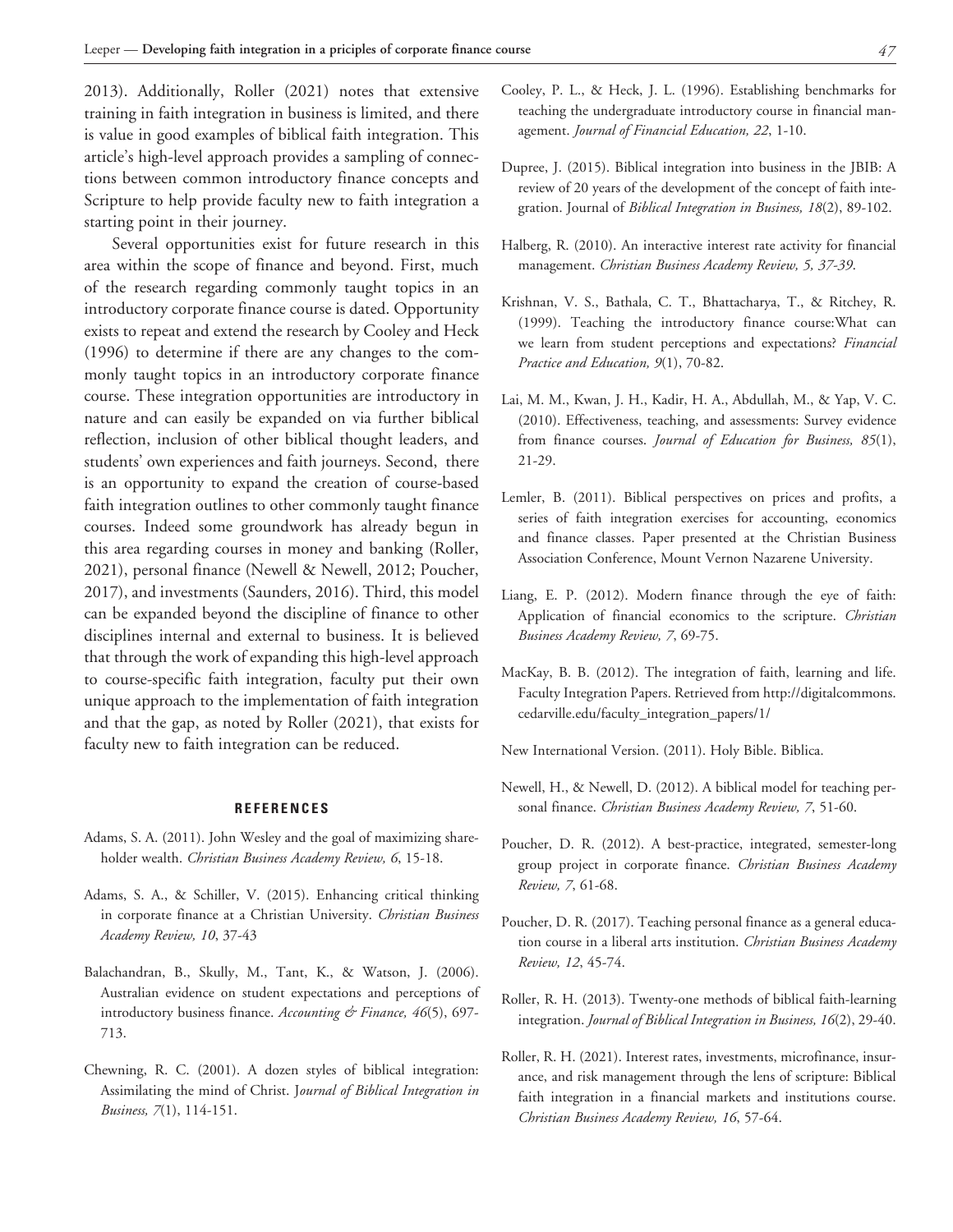2013). Additionally, Roller (2021) notes that extensive training in faith integration in business is limited, and there is value in good examples of biblical faith integration. This article's high-level approach provides a sampling of connections between common introductory finance concepts and Scripture to help provide faculty new to faith integration a starting point in their journey.

Several opportunities exist for future research in this area within the scope of finance and beyond. First, much of the research regarding commonly taught topics in an introductory corporate finance course is dated. Opportunity exists to repeat and extend the research by Cooley and Heck (1996) to determine if there are any changes to the commonly taught topics in an introductory corporate finance course. These integration opportunities are introductory in nature and can easily be expanded on via further biblical reflection, inclusion of other biblical thought leaders, and students' own experiences and faith journeys. Second, there is an opportunity to expand the creation of course-based faith integration outlines to other commonly taught finance courses. Indeed some groundwork has already begun in this area regarding courses in money and banking (Roller, 2021), personal finance (Newell & Newell, 2012; Poucher, 2017), and investments (Saunders, 2016). Third, this model can be expanded beyond the discipline of finance to other disciplines internal and external to business. It is believed that through the work of expanding this high-level approach to course-specific faith integration, faculty put their own unique approach to the implementation of faith integration and that the gap, as noted by Roller (2021), that exists for faculty new to faith integration can be reduced.

#### **REFERENCES**

- Adams, S. A. (2011). John Wesley and the goal of maximizing shareholder wealth. *Christian Business Academy Review, 6*, 15-18.
- Adams, S. A., & Schiller, V. (2015). Enhancing critical thinking in corporate finance at a Christian University. *Christian Business Academy Review, 10*, 37-43
- Balachandran, B., Skully, M., Tant, K., & Watson, J. (2006). Australian evidence on student expectations and perceptions of introductory business finance. *Accounting & Finance, 46*(5), 697- 713.
- Chewning, R. C. (2001). A dozen styles of biblical integration: Assimilating the mind of Christ. J*ournal of Biblical Integration in Business, 7*(1), 114-151.
- Cooley, P. L., & Heck, J. L. (1996). Establishing benchmarks for teaching the undergraduate introductory course in financial management. *Journal of Financial Education, 22*, 1-10.
- Dupree, J. (2015). Biblical integration into business in the JBIB: A review of 20 years of the development of the concept of faith integration. Journal of *Biblical Integration in Business, 18*(2), 89-102.
- Halberg, R. (2010). An interactive interest rate activity for financial management. *Christian Business Academy Review, 5, 37-39*.
- Krishnan, V. S., Bathala, C. T., Bhattacharya, T., & Ritchey, R. (1999). Teaching the introductory finance course:What can we learn from student perceptions and expectations? *Financial Practice and Education, 9*(1), 70-82.
- Lai, M. M., Kwan, J. H., Kadir, H. A., Abdullah, M., & Yap, V. C. (2010). Effectiveness, teaching, and assessments: Survey evidence from finance courses. *Journal of Education for Business, 85*(1), 21-29.
- Lemler, B. (2011). Biblical perspectives on prices and profits, a series of faith integration exercises for accounting, economics and finance classes. Paper presented at the Christian Business Association Conference, Mount Vernon Nazarene University.
- Liang, E. P. (2012). Modern finance through the eye of faith: Application of financial economics to the scripture. *Christian Business Academy Review, 7*, 69-75.
- MacKay, B. B. (2012). The integration of faith, learning and life. Faculty Integration Papers. Retrieved from http://digitalcommons. cedarville.edu/faculty\_integration\_papers/1/
- New International Version. (2011). Holy Bible. Biblica.
- Newell, H., & Newell, D. (2012). A biblical model for teaching personal finance. *Christian Business Academy Review, 7*, 51-60.
- Poucher, D. R. (2012). A best-practice, integrated, semester-long group project in corporate finance. *Christian Business Academy Review, 7*, 61-68.
- Poucher, D. R. (2017). Teaching personal finance as a general education course in a liberal arts institution. *Christian Business Academy Review, 12*, 45-74.
- Roller, R. H. (2013). Twenty-one methods of biblical faith-learning integration. *Journal of Biblical Integration in Business, 16*(2), 29-40.
- Roller, R. H. (2021). Interest rates, investments, microfinance, insurance, and risk management through the lens of scripture: Biblical faith integration in a financial markets and institutions course. *Christian Business Academy Review, 16*, 57-64.